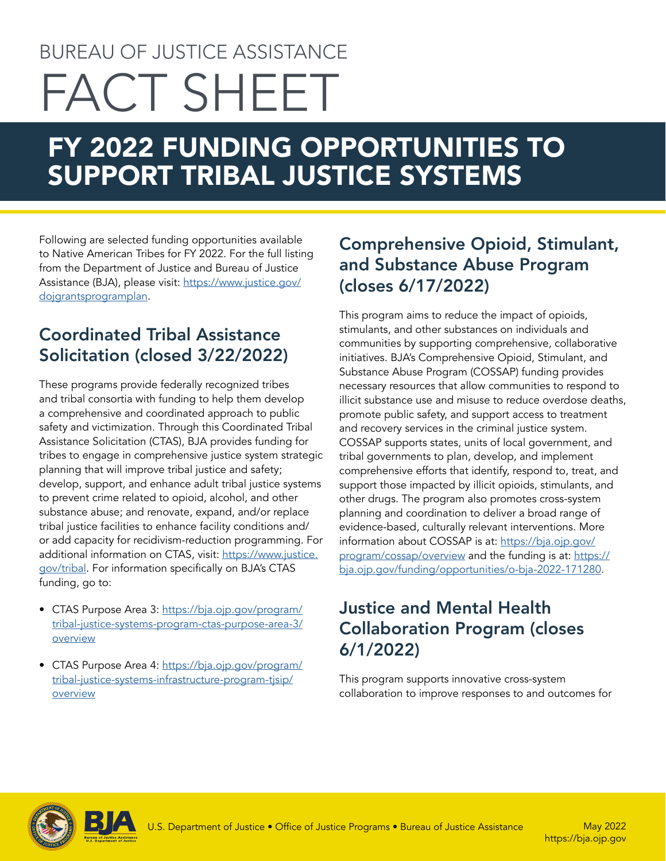## BUREAU OF JUSTICE ASSISTANCE FACT SHEET

### FY 2022 FUNDING OPPORTUNITIES TO SUPPORT TRIBAL JUSTICE SYSTEMS

Following are selected funding opportunities available to Native American Tribes for FY 2022. For the full listing from the Department of Justice and Bureau of Justice Assistance (BJA), please visit: [https://www.justice.gov/](https://www.justice.gov/dojgrantsprogramplan) [dojgrantsprogramplan.](https://www.justice.gov/dojgrantsprogramplan)

#### Coordinated Tribal Assistance Solicitation (closed 3/22/2022)

These programs provide federally recognized tribes and tribal consortia with funding to help them develop a comprehensive and coordinated approach to public safety and victimization. Through this Coordinated Tribal Assistance Solicitation (CTAS), BJA provides funding for tribes to engage in comprehensive justice system strategic planning that will improve tribal justice and safety; develop, support, and enhance adult tribal justice systems to prevent crime related to opioid, alcohol, and other substance abuse; and renovate, expand, and/or replace tribal justice facilities to enhance facility conditions and/ or add capacity for recidivism-reduction programming. For additional information on CTAS, visit: [https://www.justice.](https://www.justice.gov/tribal) [gov/tribal](https://www.justice.gov/tribal). For information specifically on BJA's CTAS funding, go to:

- CTAS Purpose Area 3: [https://bja.ojp.gov/program/](https://bja.ojp.gov/program/tribal-justice-systems-program-ctas-purpose-area-3/overview) [tribal-justice-systems-program-ctas-purpose-area-3/](https://bja.ojp.gov/program/tribal-justice-systems-program-ctas-purpose-area-3/overview) [overview](https://bja.ojp.gov/program/tribal-justice-systems-program-ctas-purpose-area-3/overview)
- CTAS Purpose Area 4: [https://bja.ojp.gov/program/](https://bja.ojp.gov/program/tribal-justice-systems-infrastructure-program-tjsip/overview) [tribal-justice-systems-infrastructure-program-tjsip/](https://bja.ojp.gov/program/tribal-justice-systems-infrastructure-program-tjsip/overview) [overview](https://bja.ojp.gov/program/tribal-justice-systems-infrastructure-program-tjsip/overview)

#### Comprehensive Opioid, Stimulant, and Substance Abuse Program (closes 6/17/2022)

This program aims to reduce the impact of opioids, stimulants, and other substances on individuals and communities by supporting comprehensive, collaborative initiatives. BJA's Comprehensive Opioid, Stimulant, and Substance Abuse Program (COSSAP) funding provides necessary resources that allow communities to respond to illicit substance use and misuse to reduce overdose deaths, promote public safety, and support access to treatment and recovery services in the criminal justice system. COSSAP supports states, units of local government, and tribal governments to plan, develop, and implement comprehensive efforts that identify, respond to, treat, and support those impacted by illicit opioids, stimulants, and other drugs. The program also promotes cross-system planning and coordination to deliver a broad range of evidence-based, culturally relevant interventions. More information about COSSAP is at: [https://bja.ojp.gov/](https://bja.ojp.gov/program/cossap/overview) [program/cossap/overview](https://bja.ojp.gov/program/cossap/overview) and the funding is at: [https://](https://bja.ojp.gov/funding/opportunities/o-bja-2022-171280) [bja.ojp.gov/funding/opportunities/o-bja-2022-171280.](https://bja.ojp.gov/funding/opportunities/o-bja-2022-171280)

#### Justice and Mental Health Collaboration Program (closes 6/1/2022)

This program supports innovative cross-system collaboration to improve responses to and outcomes for



May 2022 <https://bja.ojp.gov>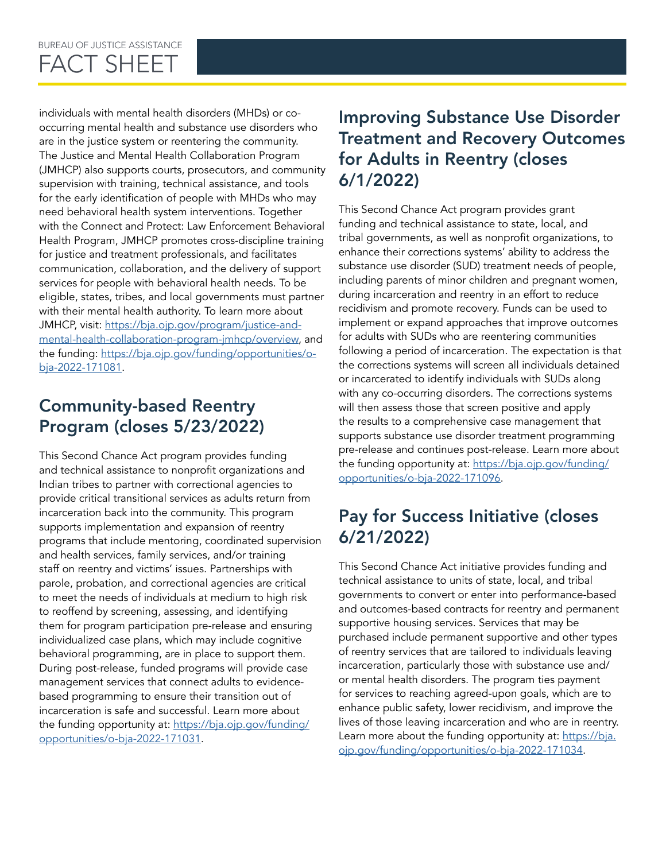individuals with mental health disorders (MHDs) or cooccurring mental health and substance use disorders who are in the justice system or reentering the community. The Justice and Mental Health Collaboration Program (JMHCP) also supports courts, prosecutors, and community supervision with training, technical assistance, and tools for the early identification of people with MHDs who may need behavioral health system interventions. Together with the Connect and Protect: Law Enforcement Behavioral Health Program, JMHCP promotes cross-discipline training for justice and treatment professionals, and facilitates communication, collaboration, and the delivery of support services for people with behavioral health needs. To be eligible, states, tribes, and local governments must partner with their mental health authority. To learn more about JMHCP, visit: [https://bja.ojp.gov/program/justice-and](https://bja.ojp.gov/program/justice-and-mental-health-collaboration-program-jmhcp/overview)[mental-health-collaboration-program-jmhcp/overview](https://bja.ojp.gov/program/justice-and-mental-health-collaboration-program-jmhcp/overview), and the funding: [https://bja.ojp.gov/funding/opportunities/o](https://bja.ojp.gov/funding/opportunities/o-bja-2022-171081)[bja-2022-171081.](https://bja.ojp.gov/funding/opportunities/o-bja-2022-171081)

#### Community-based Reentry Program (closes 5/23/2022)

This Second Chance Act program provides funding and technical assistance to nonprofit organizations and Indian tribes to partner with correctional agencies to provide critical transitional services as adults return from incarceration back into the community. This program supports implementation and expansion of reentry programs that include mentoring, coordinated supervision and health services, family services, and/or training staff on reentry and victims' issues. Partnerships with parole, probation, and correctional agencies are critical to meet the needs of individuals at medium to high risk to reoffend by screening, assessing, and identifying them for program participation pre-release and ensuring individualized case plans, which may include cognitive behavioral programming, are in place to support them. During post-release, funded programs will provide case management services that connect adults to evidencebased programming to ensure their transition out of incarceration is safe and successful. Learn more about the funding opportunity at: [https://bja.ojp.gov/funding/](https://bja.ojp.gov/funding/opportunities/o-bja-2022-171031) [opportunities/o-bja-2022-171031.](https://bja.ojp.gov/funding/opportunities/o-bja-2022-171031)

#### Improving Substance Use Disorder Treatment and Recovery Outcomes for Adults in Reentry (closes 6/1/2022)

This Second Chance Act program provides grant funding and technical assistance to state, local, and tribal governments, as well as nonprofit organizations, to enhance their corrections systems' ability to address the substance use disorder (SUD) treatment needs of people, including parents of minor children and pregnant women, during incarceration and reentry in an effort to reduce recidivism and promote recovery. Funds can be used to implement or expand approaches that improve outcomes for adults with SUDs who are reentering communities following a period of incarceration. The expectation is that the corrections systems will screen all individuals detained or incarcerated to identify individuals with SUDs along with any co-occurring disorders. The corrections systems will then assess those that screen positive and apply the results to a comprehensive case management that supports substance use disorder treatment programming pre-release and continues post-release. Learn more about the funding opportunity at: [https://bja.ojp.gov/funding/](https://bja.ojp.gov/funding/opportunities/o-bja-2022-171096) [opportunities/o-bja-2022-171096](https://bja.ojp.gov/funding/opportunities/o-bja-2022-171096).

#### Pay for Success Initiative (closes 6/21/2022)

This Second Chance Act initiative provides funding and technical assistance to units of state, local, and tribal governments to convert or enter into performance-based and outcomes-based contracts for reentry and permanent supportive housing services. Services that may be purchased include permanent supportive and other types of reentry services that are tailored to individuals leaving incarceration, particularly those with substance use and/ or mental health disorders. The program ties payment for services to reaching agreed-upon goals, which are to enhance public safety, lower recidivism, and improve the lives of those leaving incarceration and who are in reentry. Learn more about the funding opportunity at: [https://bja.](https://bja.ojp.gov/funding/opportunities/o-bja-2022-171034) [ojp.gov/funding/opportunities/o-bja-2022-171034.](https://bja.ojp.gov/funding/opportunities/o-bja-2022-171034)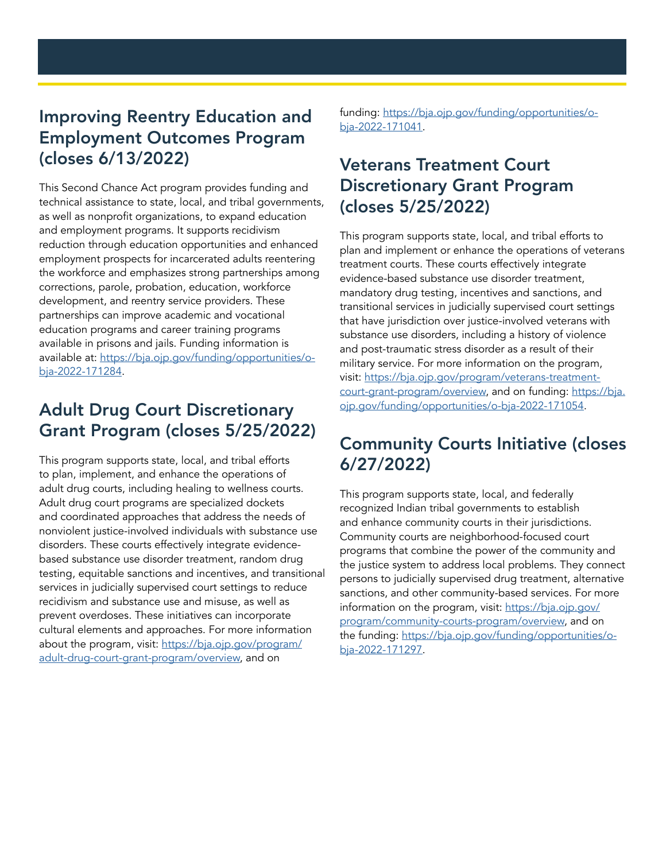#### Improving Reentry Education and Employment Outcomes Program (closes 6/13/2022)

This Second Chance Act program provides funding and technical assistance to state, local, and tribal governments, as well as nonprofit organizations, to expand education and employment programs. It supports recidivism reduction through education opportunities and enhanced employment prospects for incarcerated adults reentering the workforce and emphasizes strong partnerships among corrections, parole, probation, education, workforce development, and reentry service providers. These partnerships can improve academic and vocational education programs and career training programs available in prisons and jails. Funding information is available at: [https://bja.ojp.gov/funding/opportunities/o](https://bja.ojp.gov/funding/opportunities/o-bja-2022-171284)[bja-2022-171284.](https://bja.ojp.gov/funding/opportunities/o-bja-2022-171284)

#### Adult Drug Court Discretionary Grant Program (closes 5/25/2022)

This program supports state, local, and tribal efforts to plan, implement, and enhance the operations of adult drug courts, including healing to wellness courts. Adult drug court programs are specialized dockets and coordinated approaches that address the needs of nonviolent justice-involved individuals with substance use disorders. These courts effectively integrate evidencebased substance use disorder treatment, random drug testing, equitable sanctions and incentives, and transitional services in judicially supervised court settings to reduce recidivism and substance use and misuse, as well as prevent overdoses. These initiatives can incorporate cultural elements and approaches. For more information about the program, visit: [https://bja.ojp.gov/program/](https://bja.ojp.gov/program/adult-drug-court-grant-program/overview) [adult-drug-court-grant-program/overview,](https://bja.ojp.gov/program/adult-drug-court-grant-program/overview) and on

funding: [https://bja.ojp.gov/funding/opportunities/o](https://bja.ojp.gov/funding/opportunities/o-bja-2022-171041)[bja-2022-171041](https://bja.ojp.gov/funding/opportunities/o-bja-2022-171041).

#### Veterans Treatment Court Discretionary Grant Program (closes 5/25/2022)

This program supports state, local, and tribal efforts to plan and implement or enhance the operations of veterans treatment courts. These courts effectively integrate evidence-based substance use disorder treatment, mandatory drug testing, incentives and sanctions, and transitional services in judicially supervised court settings that have jurisdiction over justice-involved veterans with substance use disorders, including a history of violence and post-traumatic stress disorder as a result of their military service. For more information on the program, visit: [https://bja.ojp.gov/program/veterans-treatment](https://bja.ojp.gov/program/veterans-treatment-court-grant-program/overview)[court-grant-program/overview,](https://bja.ojp.gov/program/veterans-treatment-court-grant-program/overview) and on funding: [https://bja.](https://bja.ojp.gov/funding/opportunities/o-bja-2022-171054) [ojp.gov/funding/opportunities/o-bja-2022-171054.](https://bja.ojp.gov/funding/opportunities/o-bja-2022-171054)

#### Community Courts Initiative (closes 6/27/2022)

This program supports state, local, and federally recognized Indian tribal governments to establish and enhance community courts in their jurisdictions. Community courts are neighborhood-focused court programs that combine the power of the community and the justice system to address local problems. They connect persons to judicially supervised drug treatment, alternative sanctions, and other community-based services. For more information on the program, visit: [https://bja.ojp.gov/](https://bja.ojp.gov/program/community-courts-program/overview) [program/community-courts-program/overview,](https://bja.ojp.gov/program/community-courts-program/overview) and on the funding: [https://bja.ojp.gov/funding/opportunities/o](https://bja.ojp.gov/funding/opportunities/o-bja-2022-171297)[bja-2022-171297](https://bja.ojp.gov/funding/opportunities/o-bja-2022-171297).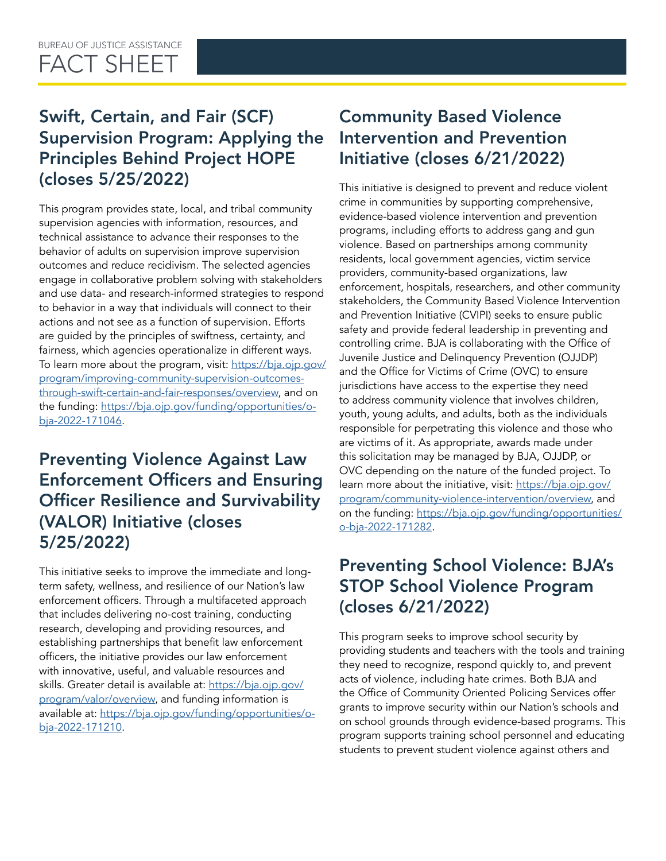#### Swift, Certain, and Fair (SCF) Community Based Violence Supervision Program: Applying the Intervention and Prevention Principles Behind Project HOPE Initiative (closes 6/21/2022) (closes 5/25/2022) This initiative is designed to prevent and reduce violent

#### **Preventing Violence Against Law** this solicitation may be managed by BJA, OJJDP, or<br>COVC depending on the nature of the funded project. To Enforcement Officers and Ensuring Officer Resilience and Survivability [program/community-violence-intervention/overview](https://bja.ojp.gov/program/community-violence-intervention/overview), and<br>
on the funding: https://bja.ojp.gov/funding/opportunities/ (VALOR) Initiative (closes 5/25/2022)

term safety, wellness, and resilience of our Nation's law **STOP School Violence Program**<br>enforcement officers. Through a multifaceted approach **(closes 6/21/2022)** that includes delivering no-cost training, conducting

This program provides state, local, and tribal community<br>supervision agencies with information, resources, and<br>subtenchical assistance to advance fremencies with information, resources, and<br>behavior of adults on supervisi are victims of it. As appropriate, awards made under learn more about the initiative, visit: [https://bja.ojp.gov/](https://bja.ojp.gov/program/community-violence-intervention/overview) [o-bja-2022-171282](https://bja.ojp.gov/funding/opportunities/o-bja-2022-171282).

# This initiative seeks to improve the immediate and long-<br>
Preventing School Violence: BJA's

research, developing and providing resources, and<br>establishing partnerships that benefit law enforcement<br>officers, the initiative provides our law enforcement<br>with innovative, useful, and valuable resources and<br>skills. Gre students to prevent student violence against others and